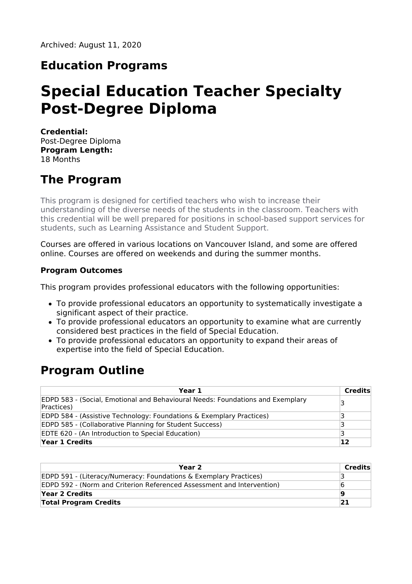# **Education Programs**

# **Special Education Teacher Specialty Post-Degree Diploma**

**Credential:** Post-Degree Diploma **Program Length:** 18 Months

# **The Program**

This program is designed for certified teachers who wish to increase their understanding of the diverse needs of the students in the classroom. Teachers with this credential will be well prepared for positions in school-based support services for students, such as Learning Assistance and Student Support.

Courses are offered in various locations on Vancouver Island, and some are offered online. Courses are offered on weekends and during the summer months.

#### **Program Outcomes**

This program provides professional educators with the following opportunities:

- To provide professional educators an opportunity to systematically investigate a significant aspect of their practice.
- To provide professional educators an opportunity to examine what are currently considered best practices in the field of Special Education.
- To provide professional educators an opportunity to expand their areas of expertise into the field of Special Education.

### **Program Outline**

| Year 1                                                                                              | Credits |
|-----------------------------------------------------------------------------------------------------|---------|
| <b>EDPD 583 - (Social, Emotional and Behavioural Needs: Foundations and Exemplary</b><br>Practices) | '3      |
| <b>EDPD 584 - (Assistive Technology: Foundations &amp; Exemplary Practices)</b>                     |         |
| <b>EDPD 585 - (Collaborative Planning for Student Success)</b>                                      |         |
| <b>EDTE 620 - (An Introduction to Special Education)</b>                                            |         |
| Year 1 Credits                                                                                      | 12      |

| Year 2                                                                 | Credits |
|------------------------------------------------------------------------|---------|
| EDPD 591 - (Literacy/Numeracy: Foundations & Exemplary Practices)      |         |
| EDPD 592 - (Norm and Criterion Referenced Assessment and Intervention) |         |
| Year 2 Credits                                                         | g       |
| <b>Total Program Credits</b>                                           | 21      |